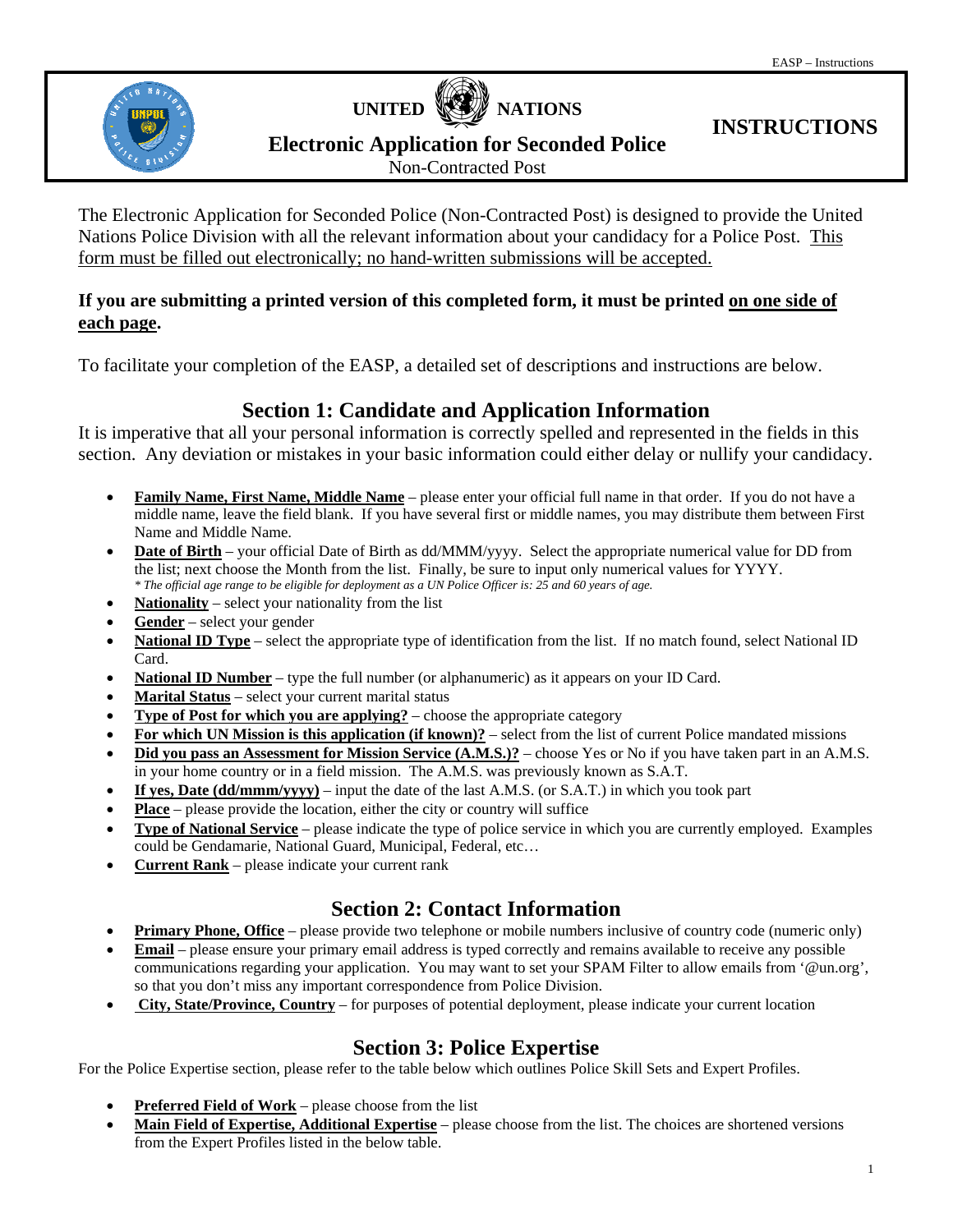



# **INSTRUCTIONS**

**Electronic Application for Seconded Police** 

Non-Contracted Post

The Electronic Application for Seconded Police (Non-Contracted Post) is designed to provide the United Nations Police Division with all the relevant information about your candidacy for a Police Post. This form must be filled out electronically; no hand-written submissions will be accepted.

#### **If you are submitting a printed version of this completed form, it must be printed on one side of each page.**

To facilitate your completion of the EASP, a detailed set of descriptions and instructions are below.

# **Section 1: Candidate and Application Information**

It is imperative that all your personal information is correctly spelled and represented in the fields in this section. Any deviation or mistakes in your basic information could either delay or nullify your candidacy.

- **Family Name, First Name, Middle Name** please enter your official full name in that order. If you do not have a middle name, leave the field blank. If you have several first or middle names, you may distribute them between First Name and Middle Name.
- **Date of Birth** your official Date of Birth as dd/MMM/yyyy. Select the appropriate numerical value for DD from the list; next choose the Month from the list. Finally, be sure to input only numerical values for YYYY. *\* The official age range to be eligible for deployment as a UN Police Officer is: 25 and 60 years of age.*
- **Nationality** select your nationality from the list
- **Gender** select your gender
- National ID Type select the appropriate type of identification from the list. If no match found, select National ID Card.
- **National ID Number** type the full number (or alphanumeric) as it appears on your ID Card.
- **Marital Status** select your current marital status
- **Type of Post for which you are applying?** choose the appropriate category
- **For which UN Mission is this application (if known)?** select from the list of current Police mandated missions
- **Did you pass an Assessment for Mission Service (A.M.S.)?** choose Yes or No if you have taken part in an A.M.S. in your home country or in a field mission. The A.M.S. was previously known as S.A.T.
- **If yes, Date (dd/mmm/yyyy)** input the date of the last A.M.S. (or S.A.T.) in which you took part
- **Place** please provide the location, either the city or country will suffice
- **Type of National Service** please indicate the type of police service in which you are currently employed. Examples could be Gendamarie, National Guard, Municipal, Federal, etc…
- **Current Rank** please indicate your current rank

# **Section 2: Contact Information**

- **Primary Phone, Office** please provide two telephone or mobile numbers inclusive of country code (numeric only)
- **Email** please ensure your primary email address is typed correctly and remains available to receive any possible communications regarding your application. You may want to set your SPAM Filter to allow emails from '@un.org', so that you don't miss any important correspondence from Police Division.
- **City, State/Province, Country** for purposes of potential deployment, please indicate your current location

# **Section 3: Police Expertise**

For the Police Expertise section, please refer to the table below which outlines Police Skill Sets and Expert Profiles.

- **Preferred Field of Work** please choose from the list
- **Main Field of Expertise, Additional Expertise** please choose from the list. The choices are shortened versions from the Expert Profiles listed in the below table.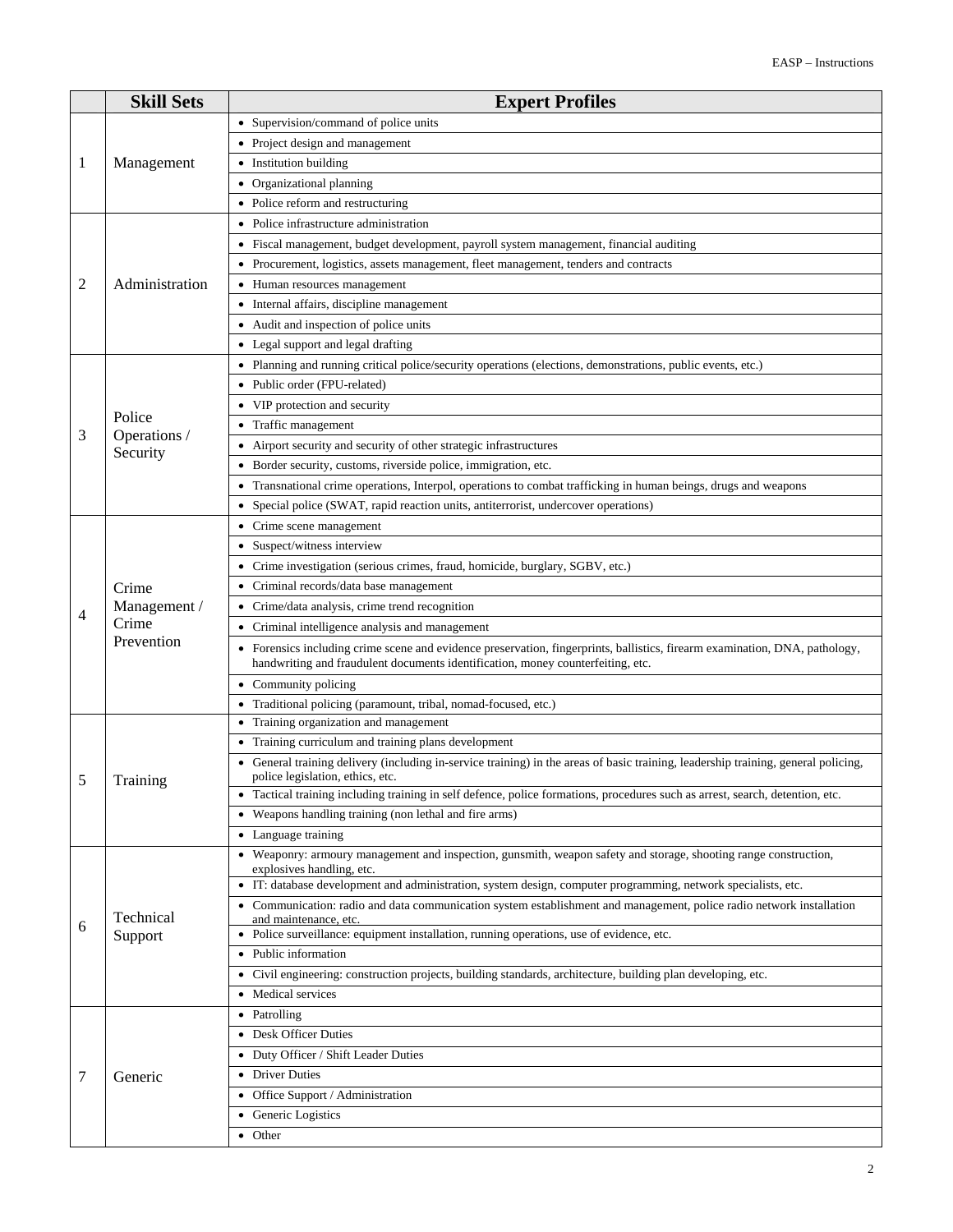|   | <b>Skill Sets</b>      | <b>Expert Profiles</b>                                                                                                                                                                                       |  |  |  |  |
|---|------------------------|--------------------------------------------------------------------------------------------------------------------------------------------------------------------------------------------------------------|--|--|--|--|
|   | Management             | • Supervision/command of police units                                                                                                                                                                        |  |  |  |  |
|   |                        | • Project design and management                                                                                                                                                                              |  |  |  |  |
| 1 |                        | • Institution building                                                                                                                                                                                       |  |  |  |  |
|   |                        | • Organizational planning                                                                                                                                                                                    |  |  |  |  |
|   |                        | • Police reform and restructuring                                                                                                                                                                            |  |  |  |  |
|   |                        | • Police infrastructure administration                                                                                                                                                                       |  |  |  |  |
|   |                        | • Fiscal management, budget development, payroll system management, financial auditing                                                                                                                       |  |  |  |  |
|   |                        | • Procurement, logistics, assets management, fleet management, tenders and contracts                                                                                                                         |  |  |  |  |
| 2 | Administration         | • Human resources management                                                                                                                                                                                 |  |  |  |  |
|   |                        | Internal affairs, discipline management                                                                                                                                                                      |  |  |  |  |
|   |                        | • Audit and inspection of police units                                                                                                                                                                       |  |  |  |  |
|   |                        | • Legal support and legal drafting                                                                                                                                                                           |  |  |  |  |
|   |                        | • Planning and running critical police/security operations (elections, demonstrations, public events, etc.)                                                                                                  |  |  |  |  |
|   |                        | • Public order (FPU-related)                                                                                                                                                                                 |  |  |  |  |
|   |                        | • VIP protection and security                                                                                                                                                                                |  |  |  |  |
|   | Police<br>Operations / | • Traffic management                                                                                                                                                                                         |  |  |  |  |
| 3 | Security               | Airport security and security of other strategic infrastructures                                                                                                                                             |  |  |  |  |
|   |                        | • Border security, customs, riverside police, immigration, etc.                                                                                                                                              |  |  |  |  |
|   |                        | • Transnational crime operations, Interpol, operations to combat trafficking in human beings, drugs and weapons                                                                                              |  |  |  |  |
|   |                        | • Special police (SWAT, rapid reaction units, antiterrorist, undercover operations)                                                                                                                          |  |  |  |  |
|   |                        | • Crime scene management                                                                                                                                                                                     |  |  |  |  |
|   |                        | • Suspect/witness interview                                                                                                                                                                                  |  |  |  |  |
|   |                        | Crime investigation (serious crimes, fraud, homicide, burglary, SGBV, etc.)                                                                                                                                  |  |  |  |  |
|   | Crime                  | Criminal records/data base management                                                                                                                                                                        |  |  |  |  |
| 4 | Management /           | Crime/data analysis, crime trend recognition                                                                                                                                                                 |  |  |  |  |
|   | Crime                  | Criminal intelligence analysis and management<br>$\bullet$                                                                                                                                                   |  |  |  |  |
|   | Prevention             | Forensics including crime scene and evidence preservation, fingerprints, ballistics, firearm examination, DNA, pathology,<br>handwriting and fraudulent documents identification, money counterfeiting, etc. |  |  |  |  |
|   |                        | • Community policing                                                                                                                                                                                         |  |  |  |  |
|   |                        | Traditional policing (paramount, tribal, nomad-focused, etc.)                                                                                                                                                |  |  |  |  |
|   | Training               | • Training organization and management                                                                                                                                                                       |  |  |  |  |
|   |                        | Training curriculum and training plans development                                                                                                                                                           |  |  |  |  |
| 5 |                        | General training delivery (including in-service training) in the areas of basic training, leadership training, general policing,<br>police legislation, ethics, etc.                                         |  |  |  |  |
|   |                        | • Tactical training including training in self defence, police formations, procedures such as arrest, search, detention, etc.                                                                                |  |  |  |  |
|   |                        | • Weapons handling training (non lethal and fire arms)                                                                                                                                                       |  |  |  |  |
|   |                        | • Language training                                                                                                                                                                                          |  |  |  |  |
|   | Technical<br>Support   | • Weaponry: armoury management and inspection, gunsmith, weapon safety and storage, shooting range construction,<br>explosives handling, etc.                                                                |  |  |  |  |
|   |                        | • IT: database development and administration, system design, computer programming, network specialists, etc.                                                                                                |  |  |  |  |
|   |                        | • Communication: radio and data communication system establishment and management, police radio network installation<br>and maintenance, etc.                                                                |  |  |  |  |
| 6 |                        | • Police surveillance: equipment installation, running operations, use of evidence, etc.                                                                                                                     |  |  |  |  |
|   |                        | • Public information                                                                                                                                                                                         |  |  |  |  |
|   |                        | • Civil engineering: construction projects, building standards, architecture, building plan developing, etc.                                                                                                 |  |  |  |  |
|   |                        | • Medical services                                                                                                                                                                                           |  |  |  |  |
|   | Generic                | • Patrolling                                                                                                                                                                                                 |  |  |  |  |
|   |                        | • Desk Officer Duties                                                                                                                                                                                        |  |  |  |  |
|   |                        | • Duty Officer / Shift Leader Duties                                                                                                                                                                         |  |  |  |  |
| 7 |                        | • Driver Duties                                                                                                                                                                                              |  |  |  |  |
|   |                        | • Office Support / Administration                                                                                                                                                                            |  |  |  |  |
|   |                        | • Generic Logistics                                                                                                                                                                                          |  |  |  |  |
|   |                        | • Other                                                                                                                                                                                                      |  |  |  |  |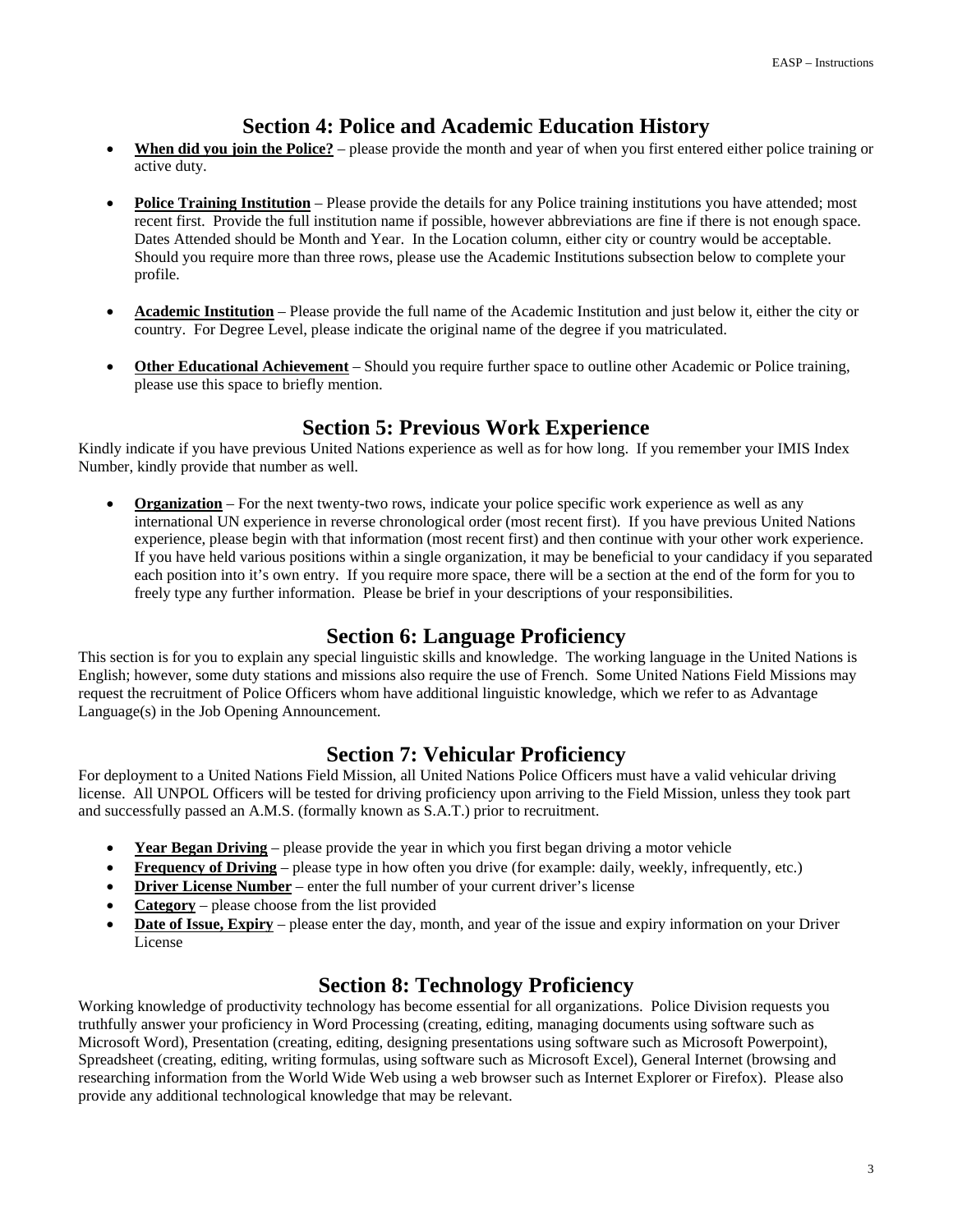#### **Section 4: Police and Academic Education History**

- **When did you join the Police?** please provide the month and year of when you first entered either police training or active duty.
- **Police Training Institution** Please provide the details for any Police training institutions you have attended; most recent first. Provide the full institution name if possible, however abbreviations are fine if there is not enough space. Dates Attended should be Month and Year. In the Location column, either city or country would be acceptable. Should you require more than three rows, please use the Academic Institutions subsection below to complete your profile.
- **Academic Institution** Please provide the full name of the Academic Institution and just below it, either the city or country. For Degree Level, please indicate the original name of the degree if you matriculated.
- **Other Educational Achievement** Should you require further space to outline other Academic or Police training, please use this space to briefly mention.

## **Section 5: Previous Work Experience**

Kindly indicate if you have previous United Nations experience as well as for how long. If you remember your IMIS Index Number, kindly provide that number as well.

**Organization** – For the next twenty-two rows, indicate your police specific work experience as well as any international UN experience in reverse chronological order (most recent first). If you have previous United Nations experience, please begin with that information (most recent first) and then continue with your other work experience. If you have held various positions within a single organization, it may be beneficial to your candidacy if you separated each position into it's own entry. If you require more space, there will be a section at the end of the form for you to freely type any further information. Please be brief in your descriptions of your responsibilities.

#### **Section 6: Language Proficiency**

This section is for you to explain any special linguistic skills and knowledge. The working language in the United Nations is English; however, some duty stations and missions also require the use of French. Some United Nations Field Missions may request the recruitment of Police Officers whom have additional linguistic knowledge, which we refer to as Advantage Language(s) in the Job Opening Announcement.

## **Section 7: Vehicular Proficiency**

For deployment to a United Nations Field Mission, all United Nations Police Officers must have a valid vehicular driving license. All UNPOL Officers will be tested for driving proficiency upon arriving to the Field Mission, unless they took part and successfully passed an A.M.S. (formally known as S.A.T.) prior to recruitment.

- **Year Began Driving** please provide the year in which you first began driving a motor vehicle
- **Frequency of Driving** please type in how often you drive (for example: daily, weekly, infrequently, etc.)
- **Driver License Number** enter the full number of your current driver's license
- **Category** please choose from the list provided
- **Date of Issue, Expiry** please enter the day, month, and year of the issue and expiry information on your Driver License

## **Section 8: Technology Proficiency**

Working knowledge of productivity technology has become essential for all organizations. Police Division requests you truthfully answer your proficiency in Word Processing (creating, editing, managing documents using software such as Microsoft Word), Presentation (creating, editing, designing presentations using software such as Microsoft Powerpoint), Spreadsheet (creating, editing, writing formulas, using software such as Microsoft Excel), General Internet (browsing and researching information from the World Wide Web using a web browser such as Internet Explorer or Firefox). Please also provide any additional technological knowledge that may be relevant.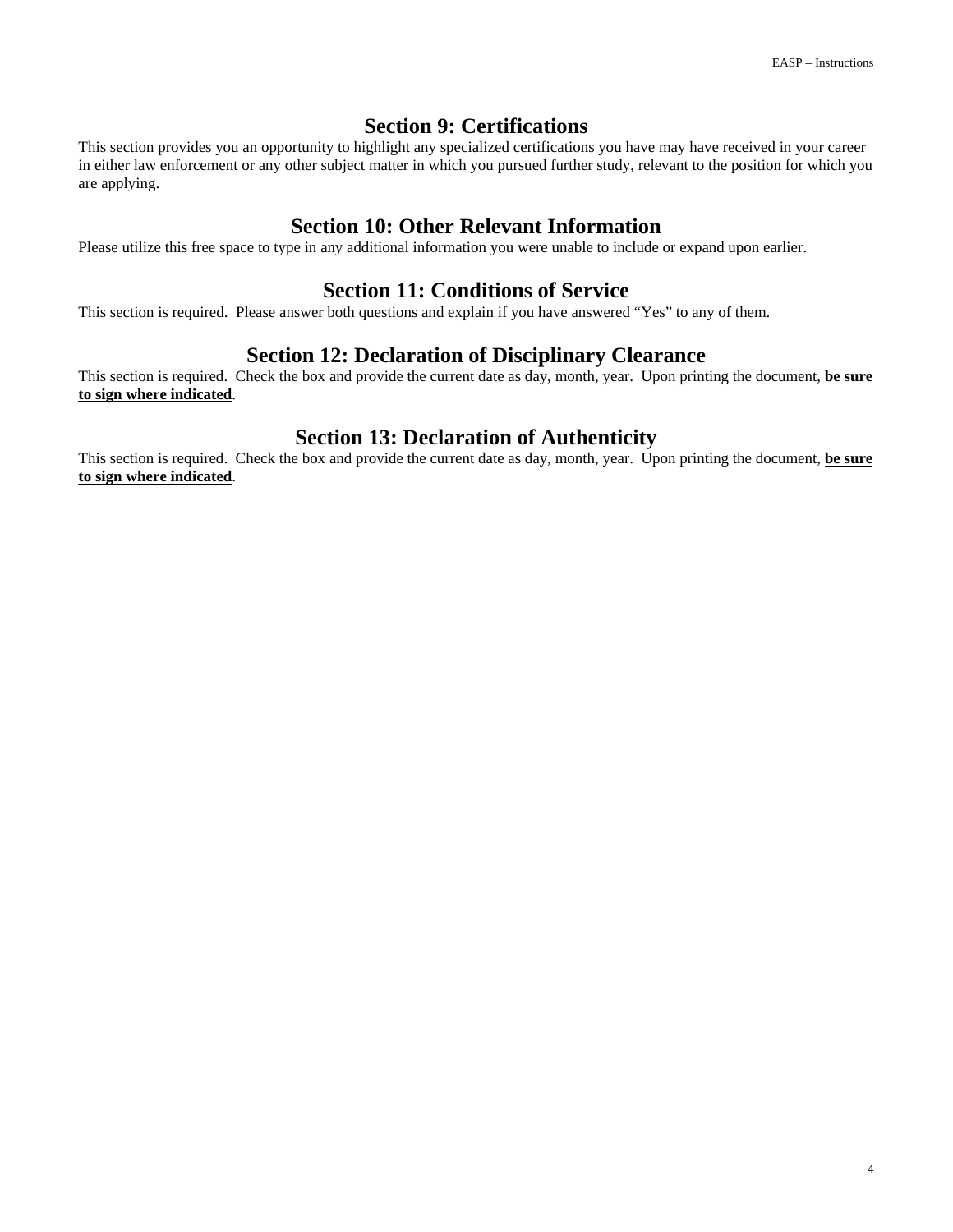#### **Section 9: Certifications**

This section provides you an opportunity to highlight any specialized certifications you have may have received in your career in either law enforcement or any other subject matter in which you pursued further study, relevant to the position for which you are applying.

#### **Section 10: Other Relevant Information**

Please utilize this free space to type in any additional information you were unable to include or expand upon earlier.

### **Section 11: Conditions of Service**

This section is required. Please answer both questions and explain if you have answered "Yes" to any of them.

### **Section 12: Declaration of Disciplinary Clearance**

This section is required. Check the box and provide the current date as day, month, year. Upon printing the document, **be sure to sign where indicated**.

## **Section 13: Declaration of Authenticity**

This section is required. Check the box and provide the current date as day, month, year. Upon printing the document, **be sure to sign where indicated**.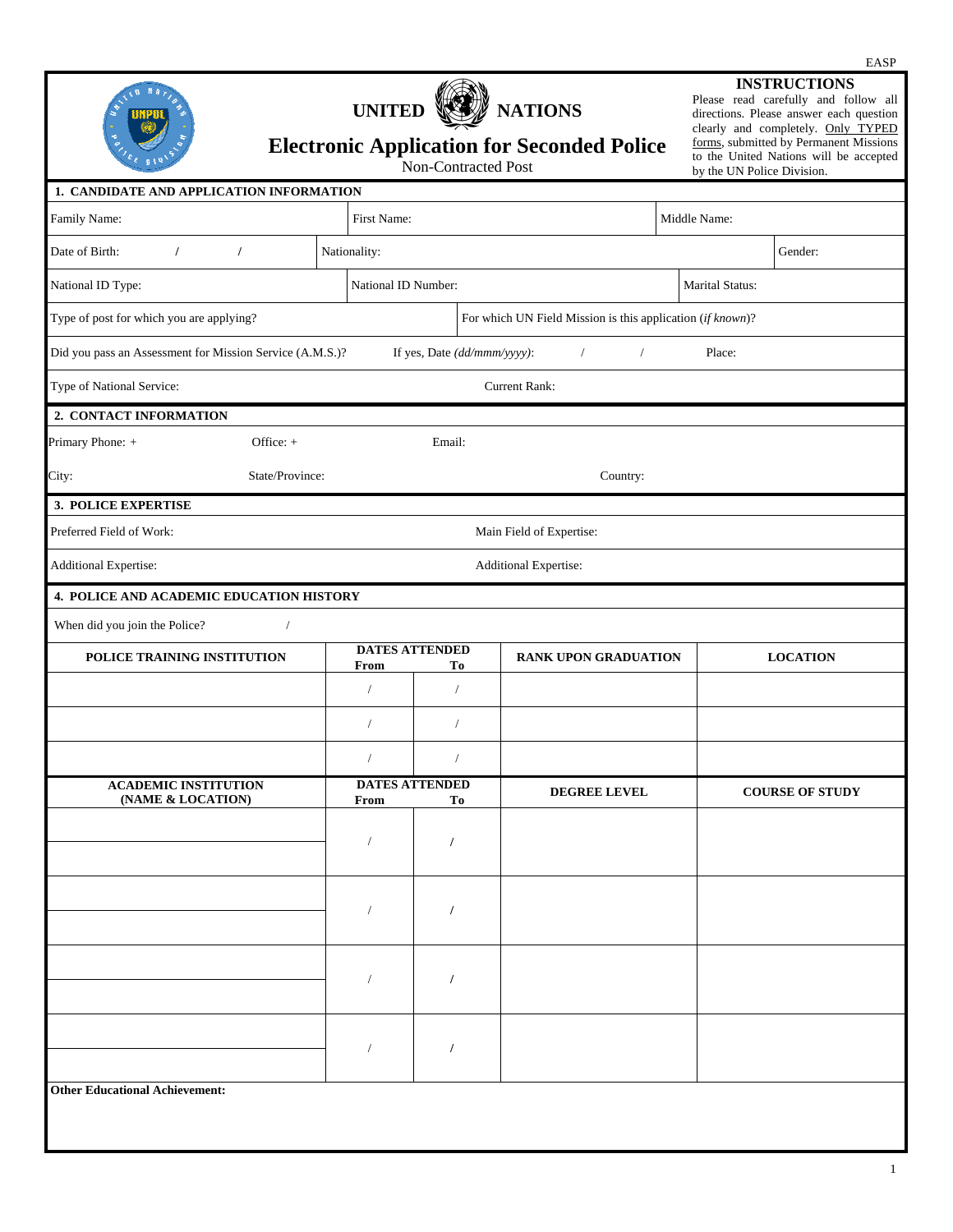|                                                          |                             |                      |                                                   |                                                                     |                                                                                                                                                                                                                                                                | EASP                     |
|----------------------------------------------------------|-----------------------------|----------------------|---------------------------------------------------|---------------------------------------------------------------------|----------------------------------------------------------------------------------------------------------------------------------------------------------------------------------------------------------------------------------------------------------------|--------------------------|
|                                                          |                             | <b>UNITED</b>        | Non-Contracted Post                               | <b>NATIONS</b><br><b>Electronic Application for Seconded Police</b> | <b>INSTRUCTIONS</b><br>Please read carefully and follow all<br>directions. Please answer each question<br>clearly and completely. Only TYPED<br>forms, submitted by Permanent Missions<br>to the United Nations will be accepted<br>by the UN Police Division. |                          |
| 1. CANDIDATE AND APPLICATION INFORMATION                 |                             |                      |                                                   |                                                                     |                                                                                                                                                                                                                                                                |                          |
| Family Name:                                             |                             | First Name:          |                                                   |                                                                     | Middle Name:                                                                                                                                                                                                                                                   |                          |
| $\mathbf{v}$<br>Date of Birth:                           | $\left  \mathbf{v} \right $ | Nationality:         |                                                   |                                                                     | Gender:<br>┳∣                                                                                                                                                                                                                                                  |                          |
| National ID Type:                                        |                             |                      | National ID Number:                               |                                                                     | <b>Marital Status:</b>                                                                                                                                                                                                                                         |                          |
| Type of post for which you are applying?                 |                             |                      | $\overline{\phantom{0}}$                          | For which UN Field Mission is this application (if known)?          |                                                                                                                                                                                                                                                                | $\overline{\phantom{a}}$ |
| Did you pass an Assessment for Mission Service (A.M.S.)? |                             |                      | $\blacktriangleright$ If yes, Date (dd/mmm/yyyy): | $\mathbf{v}$<br>$\blacktriangledown$                                | Place:                                                                                                                                                                                                                                                         |                          |
| Type of National Service:                                |                             |                      |                                                   | <b>Current Rank:</b>                                                |                                                                                                                                                                                                                                                                |                          |
| 2. CONTACT INFORMATION                                   |                             |                      |                                                   |                                                                     |                                                                                                                                                                                                                                                                |                          |
| Primary Phone: +                                         | Office: $+$                 |                      | Email:                                            |                                                                     |                                                                                                                                                                                                                                                                |                          |
| City:                                                    | State/Province:             |                      |                                                   | Country:                                                            |                                                                                                                                                                                                                                                                |                          |
| 3. POLICE EXPERTISE                                      |                             |                      |                                                   |                                                                     |                                                                                                                                                                                                                                                                |                          |
| Preferred Field of Work:                                 |                             |                      |                                                   | Main Field of Expertise:                                            |                                                                                                                                                                                                                                                                |                          |
| <b>Additional Expertise:</b>                             |                             |                      |                                                   | Additional Expertise:                                               |                                                                                                                                                                                                                                                                | $\overline{\phantom{a}}$ |
| 4. POLICE AND ACADEMIC EDUCATION HISTORY                 |                             |                      |                                                   |                                                                     |                                                                                                                                                                                                                                                                |                          |
| When did you join the Police?                            |                             |                      |                                                   |                                                                     |                                                                                                                                                                                                                                                                |                          |
| POLICE TRAINING INSTITUTION                              |                             | From                 | <b>DATES ATTENDED</b><br>Tо                       | <b>RANK UPON GRADUATION</b>                                         | <b>LOCATION</b>                                                                                                                                                                                                                                                |                          |
|                                                          |                             |                      | $\blacktriangledown$                              |                                                                     |                                                                                                                                                                                                                                                                |                          |
|                                                          |                             |                      |                                                   |                                                                     |                                                                                                                                                                                                                                                                |                          |
|                                                          |                             | $\blacktriangledown$ | $\blacktriangledown$                              |                                                                     |                                                                                                                                                                                                                                                                |                          |
| <b>ACADEMIC INSTITUTION</b><br>(NAME & LOCATION)         |                             | From                 | <b>DATES ATTENDED</b><br>Tо                       | <b>DEGREE LEVEL</b>                                                 | <b>COURSE OF STUDY</b>                                                                                                                                                                                                                                         |                          |
|                                                          |                             |                      | $\overline{\phantom{0}}$                          |                                                                     |                                                                                                                                                                                                                                                                |                          |
|                                                          |                             |                      | $\blacktriangledown$                              |                                                                     |                                                                                                                                                                                                                                                                |                          |
|                                                          |                             |                      | $\blacktriangledown$                              |                                                                     |                                                                                                                                                                                                                                                                |                          |
|                                                          |                             |                      | $\blacktriangledown$                              |                                                                     |                                                                                                                                                                                                                                                                |                          |
| <b>Other Educational Achievement:</b>                    |                             |                      |                                                   |                                                                     |                                                                                                                                                                                                                                                                |                          |

1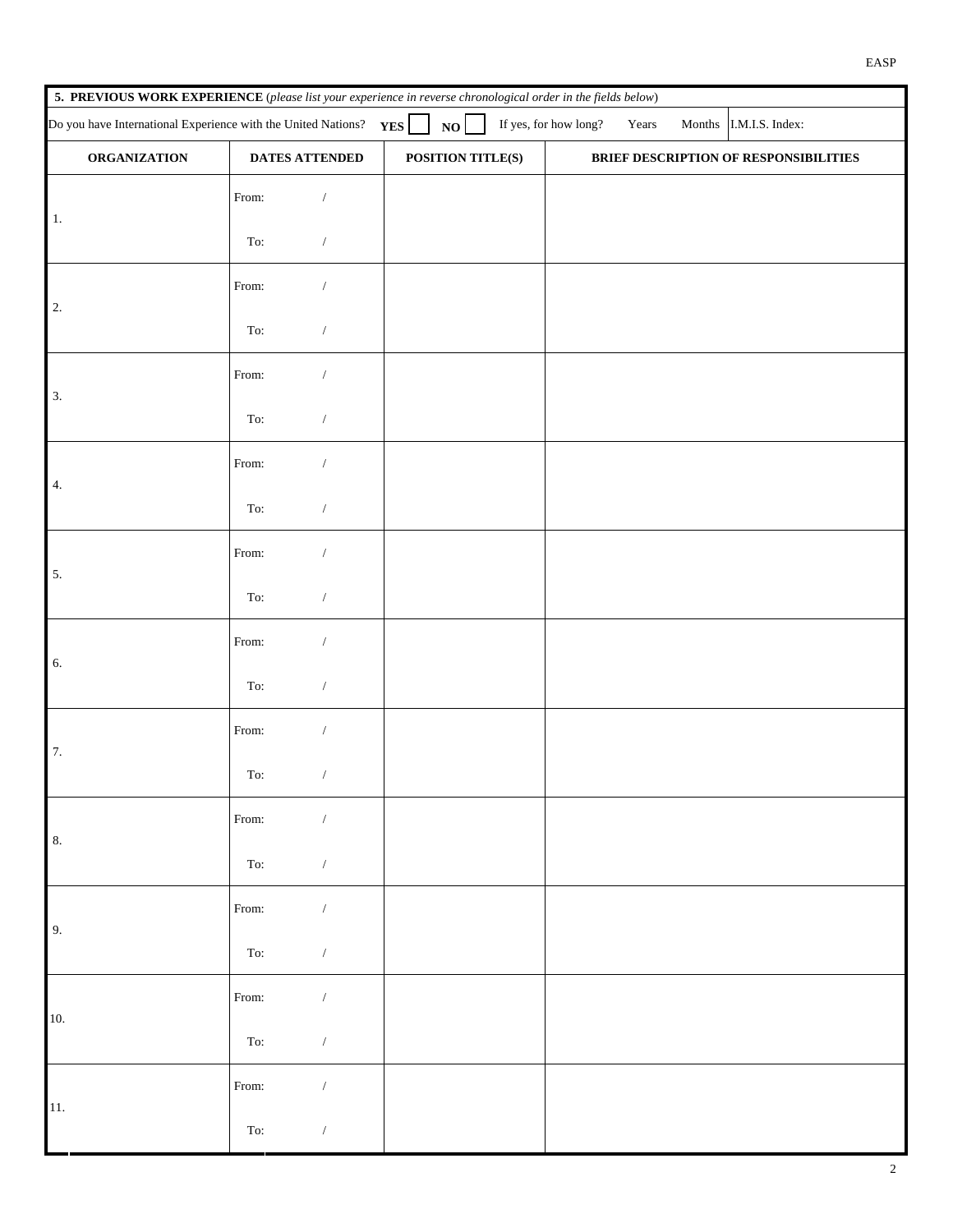|                                                                                                                                           | 5. PREVIOUS WORK EXPERIENCE (please list your experience in reverse chronological order in the fields below) |                          |                   |                                       |  |  |
|-------------------------------------------------------------------------------------------------------------------------------------------|--------------------------------------------------------------------------------------------------------------|--------------------------|-------------------|---------------------------------------|--|--|
| Do you have International Experience with the United Nations?<br>If yes, for how long?<br>NO<br>I.M.I.S. Index:<br>YES<br>Years<br>Months |                                                                                                              |                          |                   |                                       |  |  |
| <b>ORGANIZATION</b>                                                                                                                       | DATES ATTENDED                                                                                               |                          | POSITION TITLE(S) | BRIEF DESCRIPTION OF RESPONSIBILITIES |  |  |
| 1.                                                                                                                                        | From:                                                                                                        |                          |                   |                                       |  |  |
| $\left  \bullet \right $                                                                                                                  | To:                                                                                                          |                          |                   |                                       |  |  |
| 2.                                                                                                                                        | From:                                                                                                        |                          |                   |                                       |  |  |
| $\boxed{\blacksquare}$                                                                                                                    | To:                                                                                                          | ▼                        |                   |                                       |  |  |
| 3.                                                                                                                                        | From:                                                                                                        |                          |                   |                                       |  |  |
| $\left  \bullet \right $                                                                                                                  | To:                                                                                                          |                          |                   |                                       |  |  |
| 4.                                                                                                                                        | From:                                                                                                        | $\blacktriangledown$     |                   |                                       |  |  |
| $\vert \textbf{r} \vert$                                                                                                                  | To:                                                                                                          | ▼                        |                   |                                       |  |  |
| 5.                                                                                                                                        | From:                                                                                                        |                          |                   |                                       |  |  |
| $\left  \bullet \right $                                                                                                                  | To:                                                                                                          |                          |                   |                                       |  |  |
| 6.                                                                                                                                        | From:                                                                                                        |                          |                   |                                       |  |  |
| $\left  \bullet \right $                                                                                                                  | To:                                                                                                          | ▼                        |                   |                                       |  |  |
| 7.                                                                                                                                        | From:                                                                                                        |                          |                   |                                       |  |  |
|                                                                                                                                           | To:                                                                                                          | ▼∥                       |                   |                                       |  |  |
| 8.                                                                                                                                        | From:                                                                                                        | $\blacktriangledown$     |                   |                                       |  |  |
| $\left  \cdot \right $                                                                                                                    | To:                                                                                                          | ▼                        |                   |                                       |  |  |
| 9 <sub>1</sub>                                                                                                                            | From:                                                                                                        | ▼                        |                   |                                       |  |  |
| $\left  \rule{0pt}{10pt} \right.$                                                                                                         | To:                                                                                                          | ▼                        |                   |                                       |  |  |
| 10.                                                                                                                                       | From:                                                                                                        | $\vert \mathbf{v} \vert$ |                   |                                       |  |  |
| $\left  \cdot \right $                                                                                                                    | To:                                                                                                          | $\blacktriangledown$     |                   |                                       |  |  |
| 11.                                                                                                                                       | From:                                                                                                        | $\vert \mathbf{v} \vert$ |                   |                                       |  |  |
| $\overline{\mathbf{r}}$                                                                                                                   | To:                                                                                                          | $\blacktriangledown$     |                   |                                       |  |  |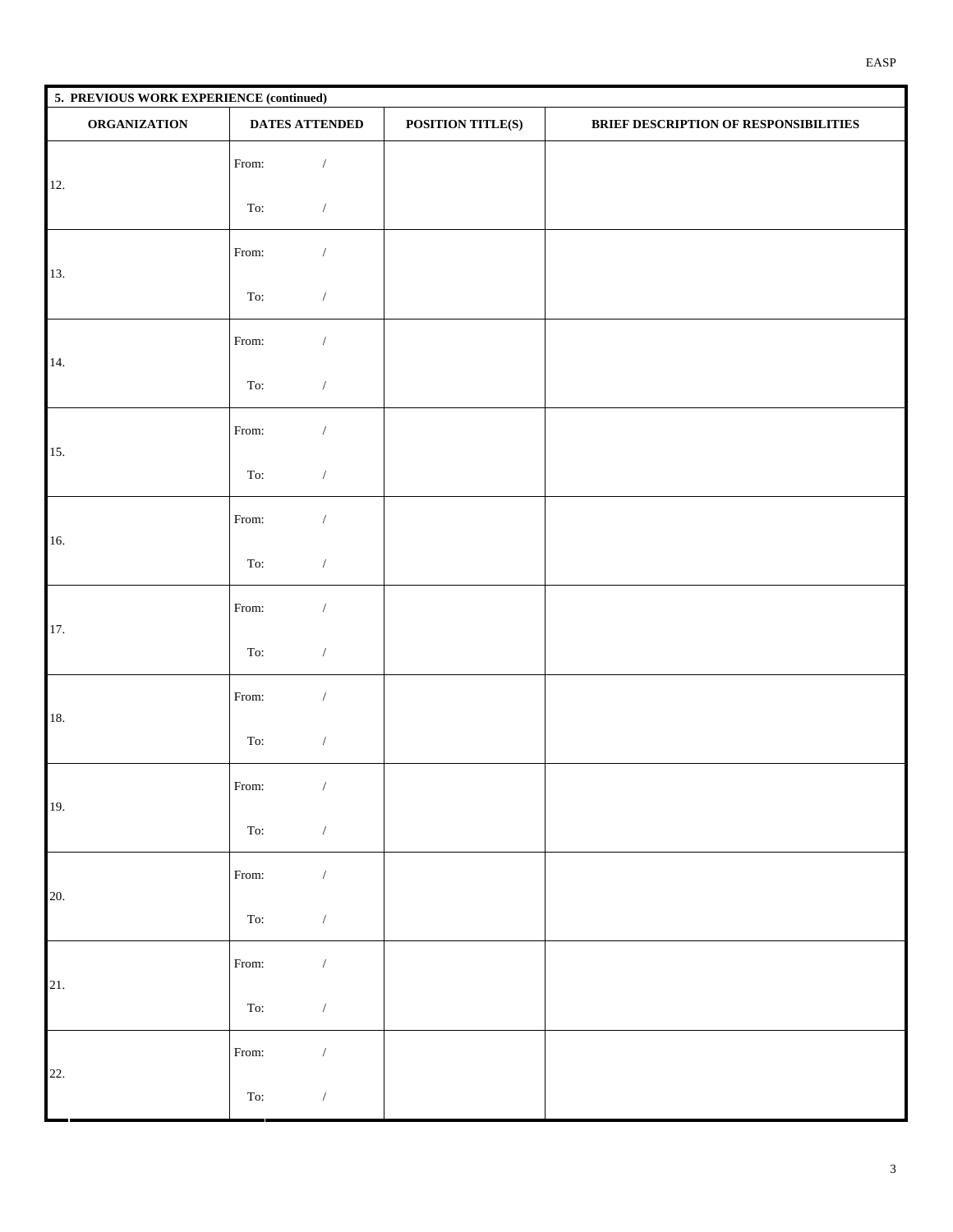|                              | 5. PREVIOUS WORK EXPERIENCE (continued) |                   |                                       |  |  |  |  |
|------------------------------|-----------------------------------------|-------------------|---------------------------------------|--|--|--|--|
| <b>ORGANIZATION</b>          | <b>DATES ATTENDED</b>                   | POSITION TITLE(S) | BRIEF DESCRIPTION OF RESPONSIBILITIES |  |  |  |  |
| 12.                          | $\blacktriangledown$<br>From:           |                   |                                       |  |  |  |  |
| $\boxed{\bullet}$            | To:<br>▼                                |                   |                                       |  |  |  |  |
| 13.                          | From:<br>$\overline{\phantom{a}}$       |                   |                                       |  |  |  |  |
| $\blacktriangleright$        | To:                                     |                   |                                       |  |  |  |  |
| 14.                          | $\overline{\phantom{a}}$<br>From:       |                   |                                       |  |  |  |  |
| $\boxed{\blacksquare}$       | To:<br>▼                                |                   |                                       |  |  |  |  |
| 15.                          | From:<br>▼                              |                   |                                       |  |  |  |  |
| $\vert$                      | To:                                     |                   |                                       |  |  |  |  |
| 16.                          | $\blacktriangledown$<br>From:           |                   |                                       |  |  |  |  |
| $\vert \vert$                | To:<br>▼                                |                   |                                       |  |  |  |  |
| 17.                          | From:<br>▼                              |                   |                                       |  |  |  |  |
| $\boxed{\blacksquare}$       | To:                                     |                   |                                       |  |  |  |  |
| 18.                          | From:                                   |                   |                                       |  |  |  |  |
| $\boxed{\mathbf{r}}$         | To:<br>▼                                |                   |                                       |  |  |  |  |
| 19.                          | From:                                   |                   |                                       |  |  |  |  |
| $\boxed{\blacksquare}$       | To:<br>▼                                |                   |                                       |  |  |  |  |
| 20.                          | $\blacktriangledown$<br>From:           |                   |                                       |  |  |  |  |
| $\left  \bullet \right $     | To:<br>$\blacktriangledown$             |                   |                                       |  |  |  |  |
| 21.                          | From:<br>▼                              |                   |                                       |  |  |  |  |
| $\boxed{\mathord{\text{I}}}$ | To:<br>$\blacktriangledown$             |                   |                                       |  |  |  |  |
| 22.                          | $\blacktriangledown$<br>From:           |                   |                                       |  |  |  |  |
| $\left  \bullet \right $     | To:<br>▼                                |                   |                                       |  |  |  |  |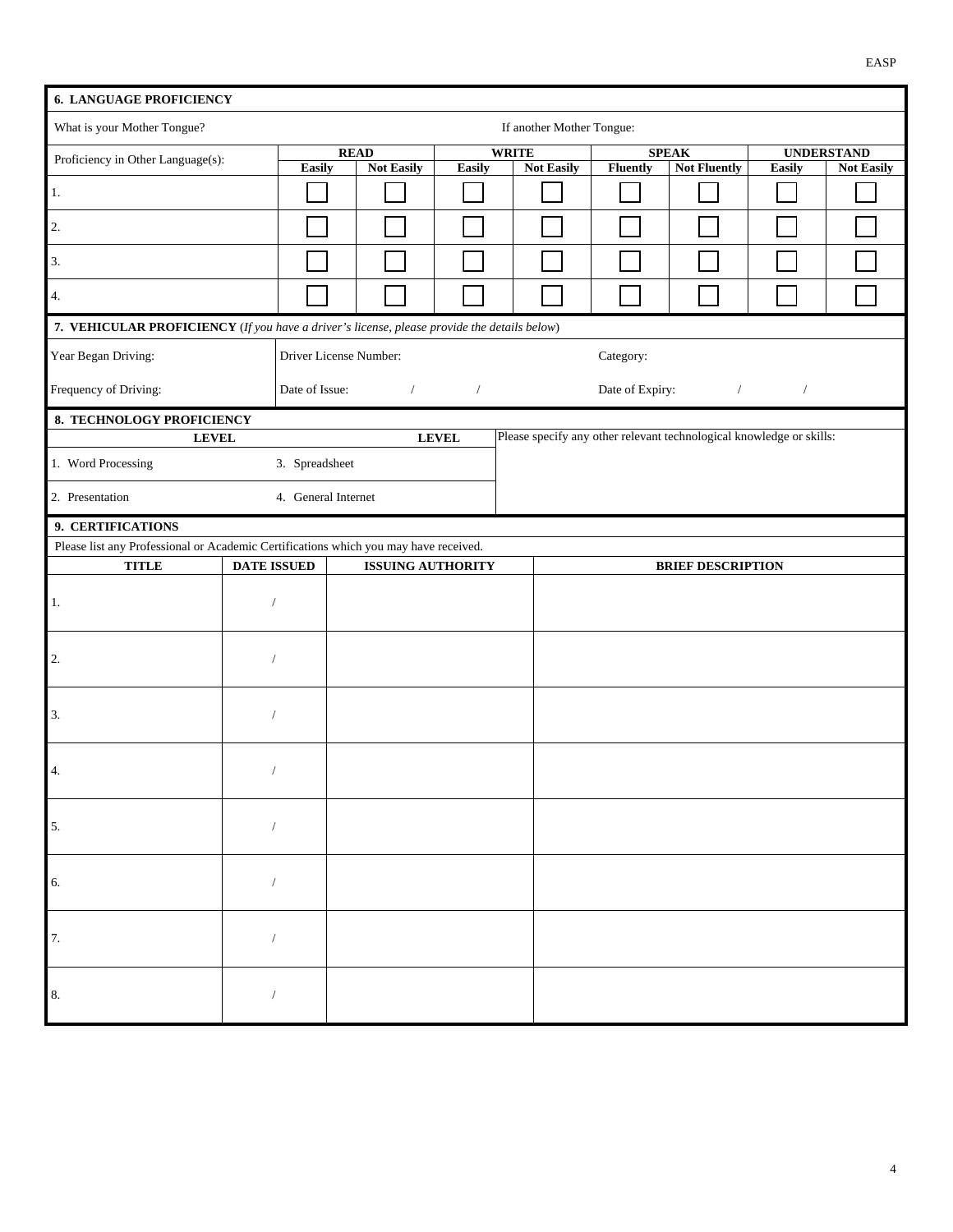| <b>6. LANGUAGE PROFICIENCY</b>                                                              |                    |                        |                                  |              |                                                                      |                 |                                     |        |                                        |
|---------------------------------------------------------------------------------------------|--------------------|------------------------|----------------------------------|--------------|----------------------------------------------------------------------|-----------------|-------------------------------------|--------|----------------------------------------|
| What is your Mother Tongue?<br>If another Mother Tongue:                                    |                    |                        |                                  |              |                                                                      |                 |                                     |        |                                        |
| Proficiency in Other Language(s):                                                           |                    | Easily                 | <b>READ</b><br><b>Not Easily</b> | Easily       | <b>WRITE</b><br><b>Not Easily</b>                                    | <b>Fluently</b> | <b>SPEAK</b><br><b>Not Fluently</b> | Easily | <b>UNDERSTAND</b><br><b>Not Easily</b> |
| $1.$                                                                                        |                    |                        |                                  |              |                                                                      |                 |                                     |        |                                        |
| $\overline{2}$ .                                                                            |                    |                        |                                  |              |                                                                      |                 |                                     |        |                                        |
| 3.                                                                                          |                    |                        |                                  |              |                                                                      |                 |                                     |        |                                        |
| 4.                                                                                          |                    |                        |                                  |              |                                                                      |                 |                                     |        |                                        |
| 7. VEHICULAR PROFICIENCY (If you have a driver's license, please provide the details below) |                    |                        |                                  |              |                                                                      |                 |                                     |        |                                        |
| Year Began Driving:                                                                         |                    | Driver License Number: |                                  |              |                                                                      | Category:       |                                     | ▾▏     |                                        |
| Frequency of Driving:                                                                       |                    | Date of Issue:         |                                  |              |                                                                      | Date of Expiry: | $\overline{\phantom{a}}$            |        |                                        |
| 8. TECHNOLOGY PROFICIENCY                                                                   |                    |                        |                                  |              |                                                                      |                 |                                     |        |                                        |
| <b>LEVEL</b>                                                                                |                    |                        |                                  | <b>LEVEL</b> | Please specify any other relevant technological knowledge or skills: |                 |                                     |        |                                        |
| 1. Word Processing                                                                          |                    | 3. Spreadsheet         |                                  |              |                                                                      |                 |                                     |        |                                        |
| 2. Presentation                                                                             |                    | 4. General Internet    |                                  |              |                                                                      |                 |                                     |        |                                        |
| 9. CERTIFICATIONS                                                                           |                    |                        |                                  |              |                                                                      |                 |                                     |        |                                        |
| Please list any Professional or Academic Certifications which you may have received.        |                    |                        |                                  |              |                                                                      |                 |                                     |        |                                        |
| <b>TITLE</b>                                                                                | <b>DATE ISSUED</b> |                        | <b>ISSUING AUTHORITY</b>         |              |                                                                      |                 | <b>BRIEF DESCRIPTION</b>            |        |                                        |
| 1.                                                                                          | ▼                  |                        |                                  |              |                                                                      |                 |                                     |        |                                        |
|                                                                                             |                    |                        |                                  |              |                                                                      |                 |                                     |        |                                        |
| $\overline{2}$ .                                                                            | ▼                  |                        |                                  |              |                                                                      |                 |                                     |        |                                        |
| 3.                                                                                          | ▼                  |                        |                                  |              |                                                                      |                 |                                     |        |                                        |
|                                                                                             |                    |                        |                                  |              |                                                                      |                 |                                     |        |                                        |
| 4.                                                                                          | ▼                  |                        |                                  |              |                                                                      |                 |                                     |        |                                        |
| $5.$                                                                                        |                    |                        |                                  |              |                                                                      |                 |                                     |        |                                        |
|                                                                                             |                    |                        |                                  |              |                                                                      |                 |                                     |        |                                        |
| 6.                                                                                          |                    |                        |                                  |              |                                                                      |                 |                                     |        |                                        |
| 7.                                                                                          |                    |                        |                                  |              |                                                                      |                 |                                     |        |                                        |
| 8.                                                                                          |                    |                        |                                  |              |                                                                      |                 |                                     |        |                                        |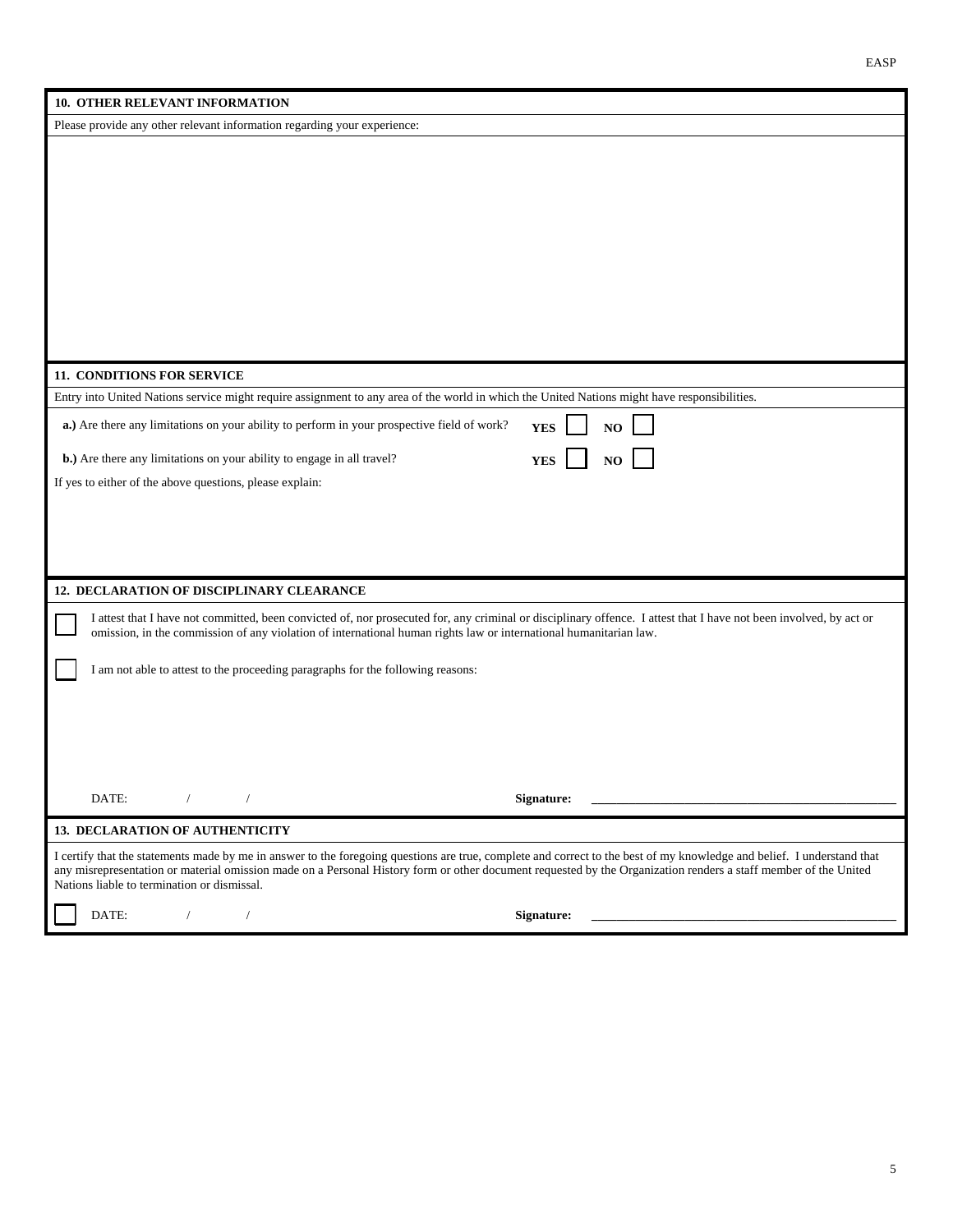| 10. OTHER RELEVANT INFORMATION                                                                                                                                                                                 |
|----------------------------------------------------------------------------------------------------------------------------------------------------------------------------------------------------------------|
| Please provide any other relevant information regarding your experience:                                                                                                                                       |
|                                                                                                                                                                                                                |
|                                                                                                                                                                                                                |
|                                                                                                                                                                                                                |
|                                                                                                                                                                                                                |
|                                                                                                                                                                                                                |
|                                                                                                                                                                                                                |
|                                                                                                                                                                                                                |
|                                                                                                                                                                                                                |
|                                                                                                                                                                                                                |
|                                                                                                                                                                                                                |
| 11. CONDITIONS FOR SERVICE                                                                                                                                                                                     |
| Entry into United Nations service might require assignment to any area of the world in which the United Nations might have responsibilities.                                                                   |
| a.) Are there any limitations on your ability to perform in your prospective field of work?<br><b>YES</b><br>NO                                                                                                |
| b.) Are there any limitations on your ability to engage in all travel?<br>$\bf NO$<br><b>YES</b>                                                                                                               |
| If yes to either of the above questions, please explain:                                                                                                                                                       |
|                                                                                                                                                                                                                |
|                                                                                                                                                                                                                |
|                                                                                                                                                                                                                |
|                                                                                                                                                                                                                |
| 12. DECLARATION OF DISCIPLINARY CLEARANCE                                                                                                                                                                      |
| I attest that I have not committed, been convicted of, nor prosecuted for, any criminal or disciplinary offence. I attest that I have not been involved, by act or                                             |
| omission, in the commission of any violation of international human rights law or international humanitarian law.                                                                                              |
| I am not able to attest to the proceeding paragraphs for the following reasons:                                                                                                                                |
|                                                                                                                                                                                                                |
|                                                                                                                                                                                                                |
|                                                                                                                                                                                                                |
|                                                                                                                                                                                                                |
|                                                                                                                                                                                                                |
| DATE:<br>Signature:                                                                                                                                                                                            |
| 13. DECLARATION OF AUTHENTICITY                                                                                                                                                                                |
| I certify that the statements made by me in answer to the foregoing questions are true, complete and correct to the best of my knowledge and belief. I understand that                                         |
| any misrepresentation or material omission made on a Personal History form or other document requested by the Organization renders a staff member of the United<br>Nations liable to termination or dismissal. |
|                                                                                                                                                                                                                |
| DATE:<br>Signature:                                                                                                                                                                                            |